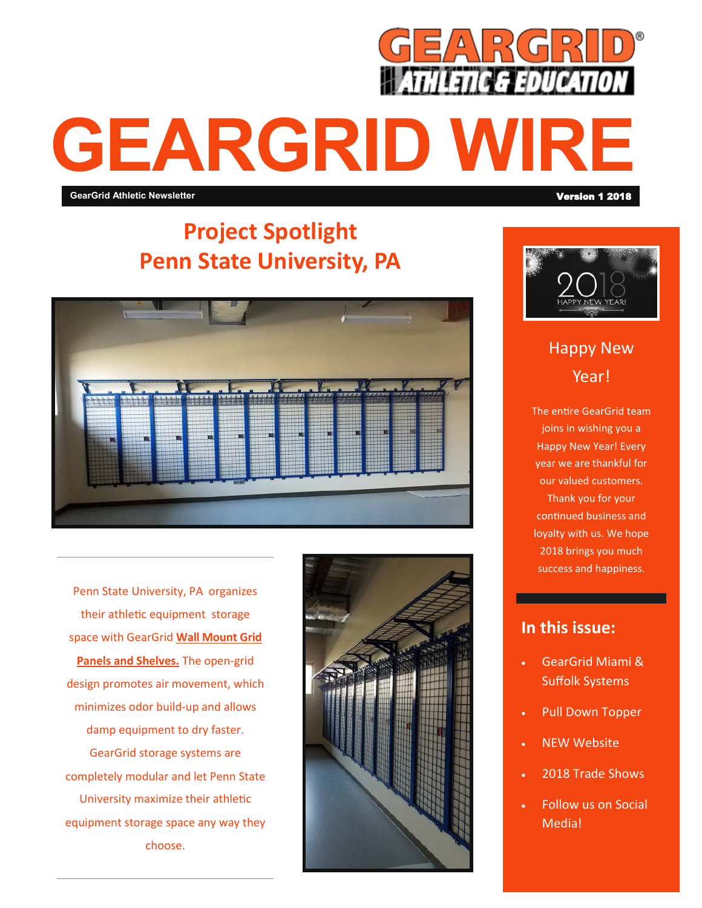

# **GEARGRID WRE**

**GearGrid Athletic Newsletter** 

## **Project Spotlight Penn State University, PA**



Penn State University, PA organizes their athletic equipment storage space with GearGrid **[Wall Mount Grid](https://geargrid.com/product/wall-mount-equipment-storage-panels-and-shelves/)  Panels and Shelves.** The open-grid design promotes air movement, which minimizes odor build-up and allows damp equipment to dry faster. GearGrid storage systems are completely modular and let Penn State University maximize their athletic equipment storage space any way they choose.





## Happy New Year!

The entire GearGrid team joins in wishing you a Happy New Year! Every year we are thankful for our valued customers. Thank you for your continued business and loyalty with us. We hope 2018 brings you much success and happiness.

#### **In this issue:**

- GearGrid Miami & Suffolk Systems
- Pull Down Topper
- NEW Website
- 2018 Trade Shows
- Follow us on Social Media!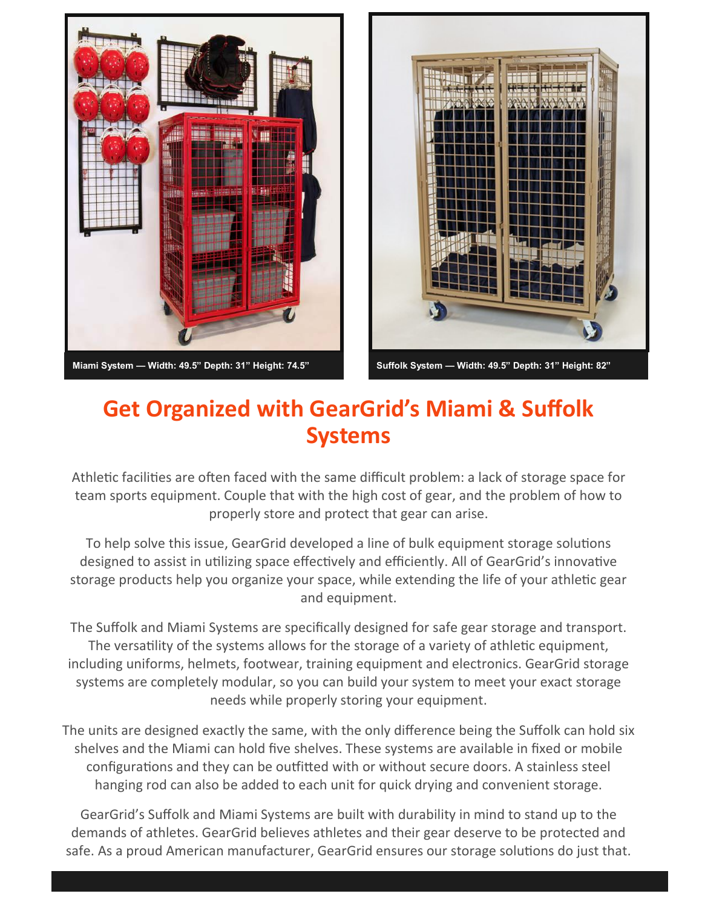



## **Get Organized with GearGrid's Miami & Suffolk Systems**

Athletic facilities are often faced with the same difficult problem: a lack of storage space for team sports equipment. Couple that with the high cost of gear, and the problem of how to properly store and protect that gear can arise.

To help solve this issue, GearGrid developed a line of bulk equipment storage solutions designed to assist in utilizing space effectively and efficiently. All of GearGrid's innovative storage products help you organize your space, while extending the life of your athletic gear and equipment.

The Suffolk and Miami Systems are specifically designed for safe gear storage and transport. The versatility of the systems allows for the storage of a variety of athletic equipment, including uniforms, helmets, footwear, training equipment and electronics. GearGrid storage systems are completely modular, so you can build your system to meet your exact storage needs while properly storing your equipment.

The units are designed exactly the same, with the only difference being the Suffolk can hold six shelves and the Miami can hold five shelves. These systems are available in fixed or mobile configurations and they can be outfitted with or without secure doors. A stainless steel hanging rod can also be added to each unit for quick drying and convenient storage.

GearGrid's Suffolk and Miami Systems are built with durability in mind to stand up to the demands of athletes. GearGrid believes athletes and their gear deserve to be protected and safe. As a proud American manufacturer, GearGrid ensures our storage solutions do just that.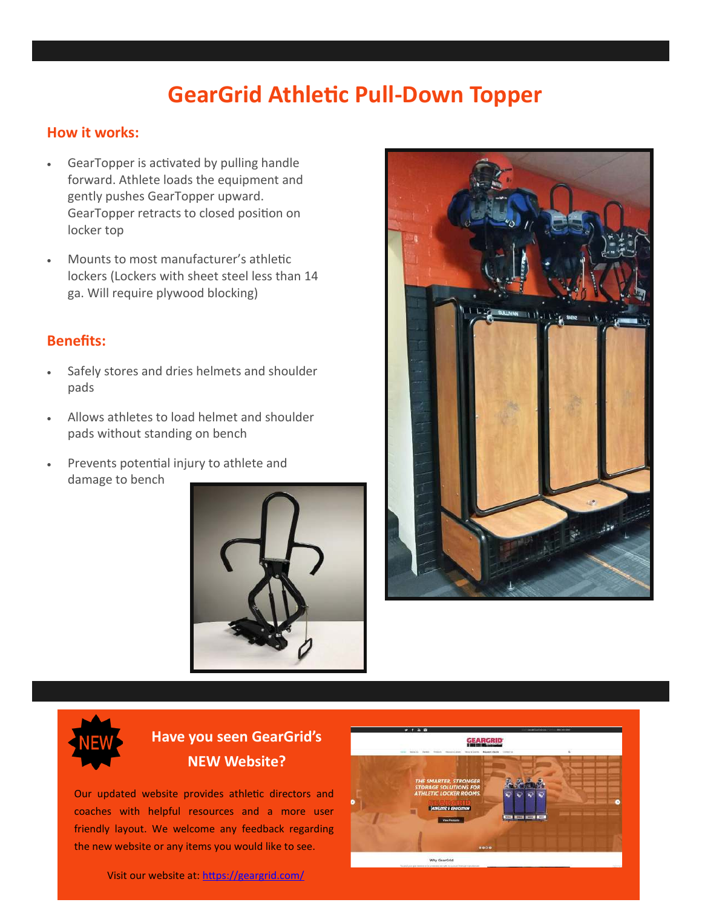## **GearGrid Athletic Pull-Down Topper**

#### **How it works:**

- GearTopper is activated by pulling handle forward. Athlete loads the equipment and gently pushes GearTopper upward. GearTopper retracts to closed position on locker top
- Mounts to most manufacturer's athletic lockers (Lockers with sheet steel less than 14 ga. Will require plywood blocking)

#### **Benefits:**

- Safely stores and dries helmets and shoulder pads
- Allows athletes to load helmet and shoulder pads without standing on bench
- Prevents potential injury to athlete and damage to bench





### **Have you seen GearGrid's NEW Website?**

Our updated website provides athletic directors and coaches with helpful resources and a more user friendly layout. We welcome any feedback regarding the new website or any items you would like to see.